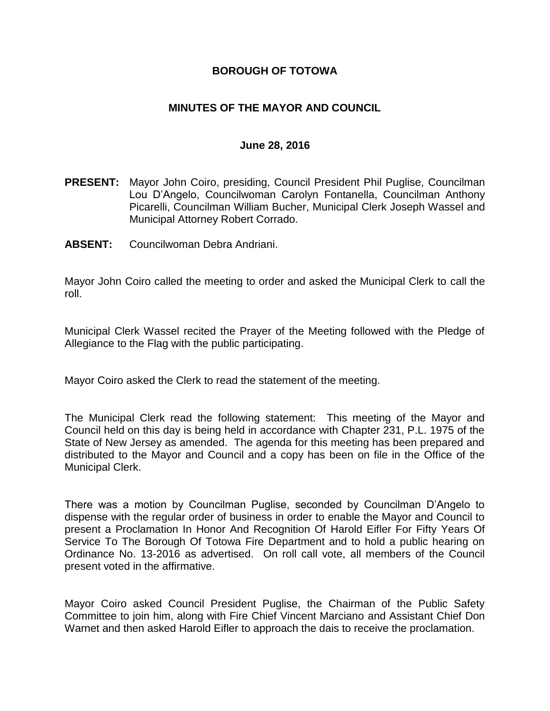### **BOROUGH OF TOTOWA**

### **MINUTES OF THE MAYOR AND COUNCIL**

#### **June 28, 2016**

- **PRESENT:** Mayor John Coiro, presiding, Council President Phil Puglise, Councilman Lou D'Angelo, Councilwoman Carolyn Fontanella, Councilman Anthony Picarelli, Councilman William Bucher, Municipal Clerk Joseph Wassel and Municipal Attorney Robert Corrado.
- **ABSENT:** Councilwoman Debra Andriani.

Mayor John Coiro called the meeting to order and asked the Municipal Clerk to call the roll.

Municipal Clerk Wassel recited the Prayer of the Meeting followed with the Pledge of Allegiance to the Flag with the public participating.

Mayor Coiro asked the Clerk to read the statement of the meeting.

The Municipal Clerk read the following statement: This meeting of the Mayor and Council held on this day is being held in accordance with Chapter 231, P.L. 1975 of the State of New Jersey as amended. The agenda for this meeting has been prepared and distributed to the Mayor and Council and a copy has been on file in the Office of the Municipal Clerk.

There was a motion by Councilman Puglise, seconded by Councilman D'Angelo to dispense with the regular order of business in order to enable the Mayor and Council to present a Proclamation In Honor And Recognition Of Harold Eifler For Fifty Years Of Service To The Borough Of Totowa Fire Department and to hold a public hearing on Ordinance No. 13-2016 as advertised. On roll call vote, all members of the Council present voted in the affirmative.

Mayor Coiro asked Council President Puglise, the Chairman of the Public Safety Committee to join him, along with Fire Chief Vincent Marciano and Assistant Chief Don Warnet and then asked Harold Eifler to approach the dais to receive the proclamation.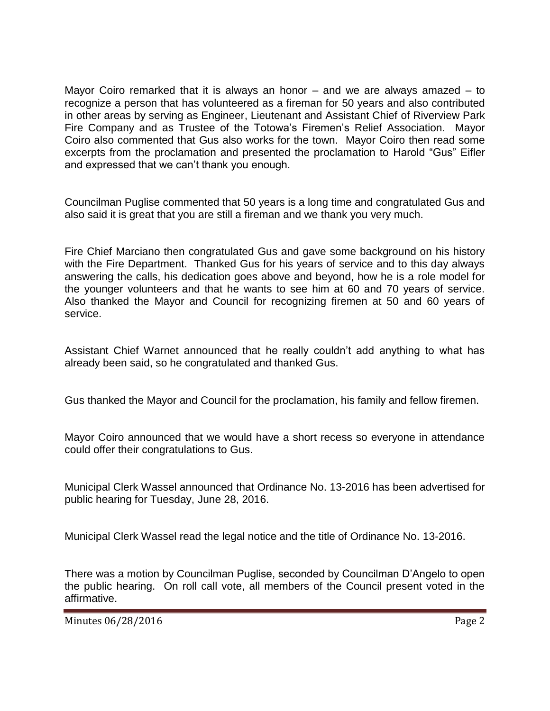Mayor Coiro remarked that it is always an honor – and we are always amazed – to recognize a person that has volunteered as a fireman for 50 years and also contributed in other areas by serving as Engineer, Lieutenant and Assistant Chief of Riverview Park Fire Company and as Trustee of the Totowa's Firemen's Relief Association. Mayor Coiro also commented that Gus also works for the town. Mayor Coiro then read some excerpts from the proclamation and presented the proclamation to Harold "Gus" Eifler and expressed that we can't thank you enough.

Councilman Puglise commented that 50 years is a long time and congratulated Gus and also said it is great that you are still a fireman and we thank you very much.

Fire Chief Marciano then congratulated Gus and gave some background on his history with the Fire Department. Thanked Gus for his years of service and to this day always answering the calls, his dedication goes above and beyond, how he is a role model for the younger volunteers and that he wants to see him at 60 and 70 years of service. Also thanked the Mayor and Council for recognizing firemen at 50 and 60 years of service.

Assistant Chief Warnet announced that he really couldn't add anything to what has already been said, so he congratulated and thanked Gus.

Gus thanked the Mayor and Council for the proclamation, his family and fellow firemen.

Mayor Coiro announced that we would have a short recess so everyone in attendance could offer their congratulations to Gus.

Municipal Clerk Wassel announced that Ordinance No. 13-2016 has been advertised for public hearing for Tuesday, June 28, 2016.

Municipal Clerk Wassel read the legal notice and the title of Ordinance No. 13-2016.

There was a motion by Councilman Puglise, seconded by Councilman D'Angelo to open the public hearing. On roll call vote, all members of the Council present voted in the affirmative.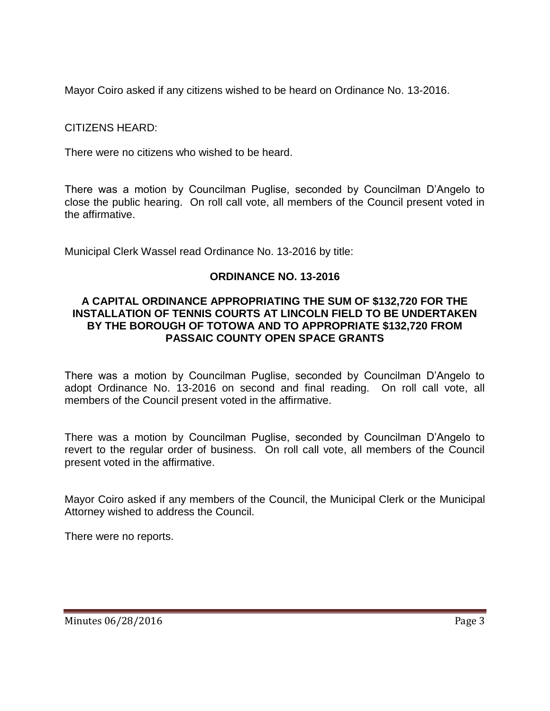Mayor Coiro asked if any citizens wished to be heard on Ordinance No. 13-2016.

CITIZENS HEARD:

There were no citizens who wished to be heard.

There was a motion by Councilman Puglise, seconded by Councilman D'Angelo to close the public hearing. On roll call vote, all members of the Council present voted in the affirmative.

Municipal Clerk Wassel read Ordinance No. 13-2016 by title:

## **ORDINANCE NO. 13-2016**

#### **A CAPITAL ORDINANCE APPROPRIATING THE SUM OF \$132,720 FOR THE INSTALLATION OF TENNIS COURTS AT LINCOLN FIELD TO BE UNDERTAKEN BY THE BOROUGH OF TOTOWA AND TO APPROPRIATE \$132,720 FROM PASSAIC COUNTY OPEN SPACE GRANTS**

There was a motion by Councilman Puglise, seconded by Councilman D'Angelo to adopt Ordinance No. 13-2016 on second and final reading. On roll call vote, all members of the Council present voted in the affirmative.

There was a motion by Councilman Puglise, seconded by Councilman D'Angelo to revert to the regular order of business. On roll call vote, all members of the Council present voted in the affirmative.

Mayor Coiro asked if any members of the Council, the Municipal Clerk or the Municipal Attorney wished to address the Council.

There were no reports.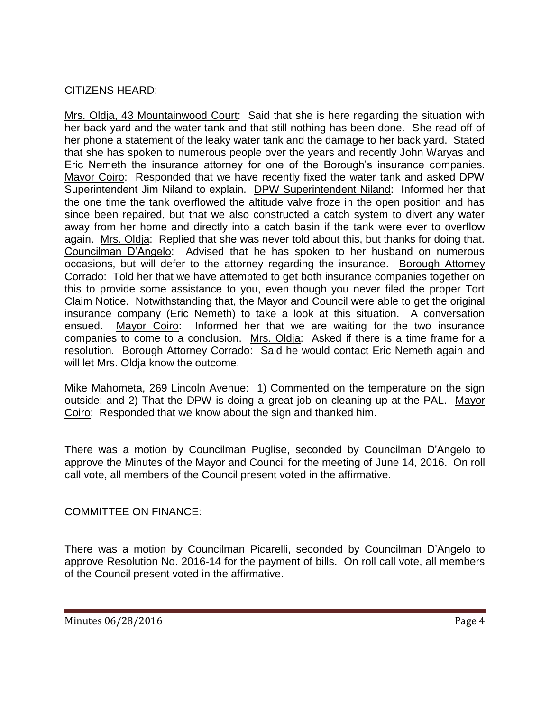## CITIZENS HEARD:

Mrs. Oldja, 43 Mountainwood Court: Said that she is here regarding the situation with her back yard and the water tank and that still nothing has been done. She read off of her phone a statement of the leaky water tank and the damage to her back yard. Stated that she has spoken to numerous people over the years and recently John Waryas and Eric Nemeth the insurance attorney for one of the Borough's insurance companies. Mayor Coiro: Responded that we have recently fixed the water tank and asked DPW Superintendent Jim Niland to explain. DPW Superintendent Niland: Informed her that the one time the tank overflowed the altitude valve froze in the open position and has since been repaired, but that we also constructed a catch system to divert any water away from her home and directly into a catch basin if the tank were ever to overflow again. Mrs. Oldja: Replied that she was never told about this, but thanks for doing that. Councilman D'Angelo: Advised that he has spoken to her husband on numerous occasions, but will defer to the attorney regarding the insurance. Borough Attorney Corrado: Told her that we have attempted to get both insurance companies together on this to provide some assistance to you, even though you never filed the proper Tort Claim Notice. Notwithstanding that, the Mayor and Council were able to get the original insurance company (Eric Nemeth) to take a look at this situation. A conversation ensued. Mayor Coiro: Informed her that we are waiting for the two insurance companies to come to a conclusion. Mrs. Oldja: Asked if there is a time frame for a resolution. Borough Attorney Corrado: Said he would contact Eric Nemeth again and will let Mrs. Oldja know the outcome.

Mike Mahometa, 269 Lincoln Avenue: 1) Commented on the temperature on the sign outside; and 2) That the DPW is doing a great job on cleaning up at the PAL. Mayor Coiro: Responded that we know about the sign and thanked him.

There was a motion by Councilman Puglise, seconded by Councilman D'Angelo to approve the Minutes of the Mayor and Council for the meeting of June 14, 2016. On roll call vote, all members of the Council present voted in the affirmative.

## COMMITTEE ON FINANCE:

There was a motion by Councilman Picarelli, seconded by Councilman D'Angelo to approve Resolution No. 2016-14 for the payment of bills. On roll call vote, all members of the Council present voted in the affirmative.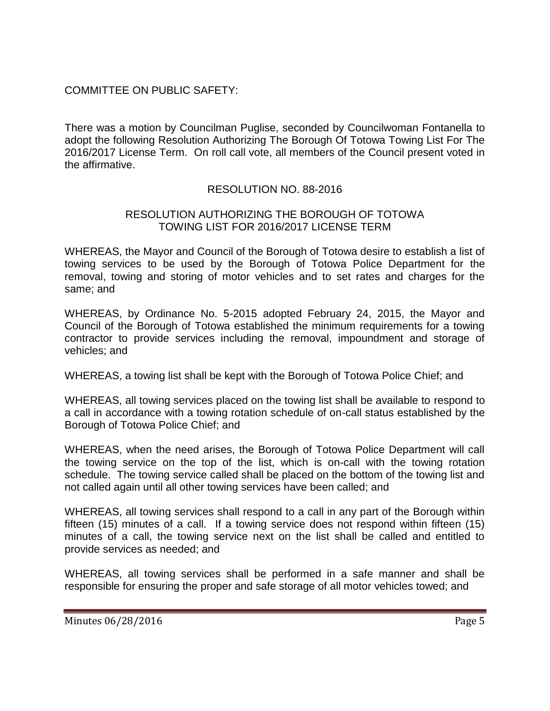## COMMITTEE ON PUBLIC SAFETY:

There was a motion by Councilman Puglise, seconded by Councilwoman Fontanella to adopt the following Resolution Authorizing The Borough Of Totowa Towing List For The 2016/2017 License Term. On roll call vote, all members of the Council present voted in the affirmative.

## RESOLUTION NO. 88-2016

### RESOLUTION AUTHORIZING THE BOROUGH OF TOTOWA TOWING LIST FOR 2016/2017 LICENSE TERM

WHEREAS, the Mayor and Council of the Borough of Totowa desire to establish a list of towing services to be used by the Borough of Totowa Police Department for the removal, towing and storing of motor vehicles and to set rates and charges for the same; and

WHEREAS, by Ordinance No. 5-2015 adopted February 24, 2015, the Mayor and Council of the Borough of Totowa established the minimum requirements for a towing contractor to provide services including the removal, impoundment and storage of vehicles; and

WHEREAS, a towing list shall be kept with the Borough of Totowa Police Chief; and

WHEREAS, all towing services placed on the towing list shall be available to respond to a call in accordance with a towing rotation schedule of on-call status established by the Borough of Totowa Police Chief; and

WHEREAS, when the need arises, the Borough of Totowa Police Department will call the towing service on the top of the list, which is on-call with the towing rotation schedule. The towing service called shall be placed on the bottom of the towing list and not called again until all other towing services have been called; and

WHEREAS, all towing services shall respond to a call in any part of the Borough within fifteen (15) minutes of a call. If a towing service does not respond within fifteen (15) minutes of a call, the towing service next on the list shall be called and entitled to provide services as needed; and

WHEREAS, all towing services shall be performed in a safe manner and shall be responsible for ensuring the proper and safe storage of all motor vehicles towed; and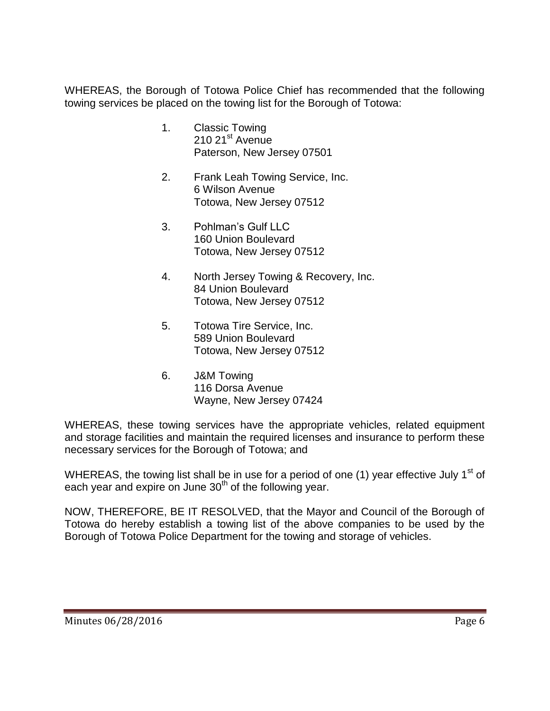WHEREAS, the Borough of Totowa Police Chief has recommended that the following towing services be placed on the towing list for the Borough of Totowa:

- 1. Classic Towing  $210$   $21$ <sup>st</sup> Avenue Paterson, New Jersey 07501
- 2. Frank Leah Towing Service, Inc. 6 Wilson Avenue Totowa, New Jersey 07512
- 3. Pohlman's Gulf LLC 160 Union Boulevard Totowa, New Jersey 07512
- 4. North Jersey Towing & Recovery, Inc. 84 Union Boulevard Totowa, New Jersey 07512
- 5. Totowa Tire Service, Inc. 589 Union Boulevard Totowa, New Jersey 07512
- 6. J&M Towing 116 Dorsa Avenue Wayne, New Jersey 07424

WHEREAS, these towing services have the appropriate vehicles, related equipment and storage facilities and maintain the required licenses and insurance to perform these necessary services for the Borough of Totowa; and

WHEREAS, the towing list shall be in use for a period of one (1) year effective July 1<sup>st</sup> of each year and expire on June  $30<sup>th</sup>$  of the following year.

NOW, THEREFORE, BE IT RESOLVED, that the Mayor and Council of the Borough of Totowa do hereby establish a towing list of the above companies to be used by the Borough of Totowa Police Department for the towing and storage of vehicles.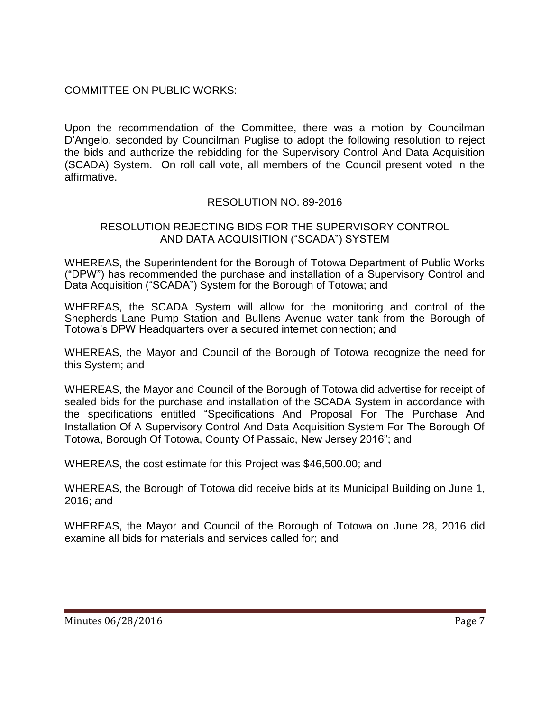## COMMITTEE ON PUBLIC WORKS:

Upon the recommendation of the Committee, there was a motion by Councilman D'Angelo, seconded by Councilman Puglise to adopt the following resolution to reject the bids and authorize the rebidding for the Supervisory Control And Data Acquisition (SCADA) System. On roll call vote, all members of the Council present voted in the affirmative.

# RESOLUTION NO. 89-2016

### RESOLUTION REJECTING BIDS FOR THE SUPERVISORY CONTROL AND DATA ACQUISITION ("SCADA") SYSTEM

WHEREAS, the Superintendent for the Borough of Totowa Department of Public Works ("DPW") has recommended the purchase and installation of a Supervisory Control and Data Acquisition ("SCADA") System for the Borough of Totowa; and

WHEREAS, the SCADA System will allow for the monitoring and control of the Shepherds Lane Pump Station and Bullens Avenue water tank from the Borough of Totowa's DPW Headquarters over a secured internet connection; and

WHEREAS, the Mayor and Council of the Borough of Totowa recognize the need for this System; and

WHEREAS, the Mayor and Council of the Borough of Totowa did advertise for receipt of sealed bids for the purchase and installation of the SCADA System in accordance with the specifications entitled "Specifications And Proposal For The Purchase And Installation Of A Supervisory Control And Data Acquisition System For The Borough Of Totowa, Borough Of Totowa, County Of Passaic, New Jersey 2016"; and

WHEREAS, the cost estimate for this Project was \$46,500.00; and

WHEREAS, the Borough of Totowa did receive bids at its Municipal Building on June 1, 2016; and

WHEREAS, the Mayor and Council of the Borough of Totowa on June 28, 2016 did examine all bids for materials and services called for; and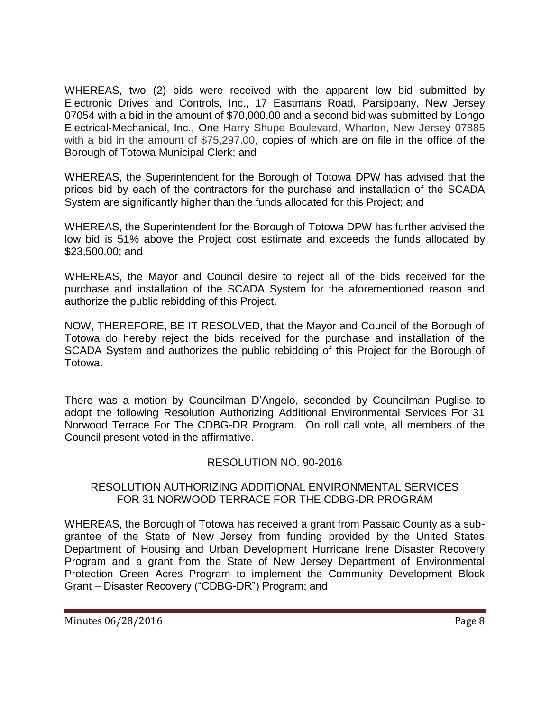WHEREAS, two (2) bids were received with the apparent low bid submitted by Electronic Drives and Controls, Inc., 17 Eastmans Road, Parsippany, New Jersey 07054 with a bid in the amount of \$70,000.00 and a second bid was submitted by Longo Electrical-Mechanical, Inc., One Harry Shupe Boulevard, Wharton, New Jersey 07885 with a bid in the amount of \$75,297.00, copies of which are on file in the office of the Borough of Totowa Municipal Clerk; and

WHEREAS, the Superintendent for the Borough of Totowa DPW has advised that the prices bid by each of the contractors for the purchase and installation of the SCADA System are significantly higher than the funds allocated for this Project; and

WHEREAS, the Superintendent for the Borough of Totowa DPW has further advised the low bid is 51% above the Project cost estimate and exceeds the funds allocated by \$23,500.00; and

WHEREAS, the Mayor and Council desire to reject all of the bids received for the purchase and installation of the SCADA System for the aforementioned reason and authorize the public rebidding of this Project.

NOW, THEREFORE, BE IT RESOLVED, that the Mayor and Council of the Borough of Totowa do hereby reject the bids received for the purchase and installation of the SCADA System and authorizes the public rebidding of this Project for the Borough of Totowa.

There was a motion by Councilman D'Angelo, seconded by Councilman Puglise to adopt the following Resolution Authorizing Additional Environmental Services For 31 Norwood Terrace For The CDBG-DR Program. On roll call vote, all members of the Council present voted in the affirmative.

## RESOLUTION NO. 90-2016

### RESOLUTION AUTHORIZING ADDITIONAL ENVIRONMENTAL SERVICES FOR 31 NORWOOD TERRACE FOR THE CDBG-DR PROGRAM

WHEREAS, the Borough of Totowa has received a grant from Passaic County as a subgrantee of the State of New Jersey from funding provided by the United States Department of Housing and Urban Development Hurricane Irene Disaster Recovery Program and a grant from the State of New Jersey Department of Environmental Protection Green Acres Program to implement the Community Development Block Grant – Disaster Recovery ("CDBG-DR") Program; and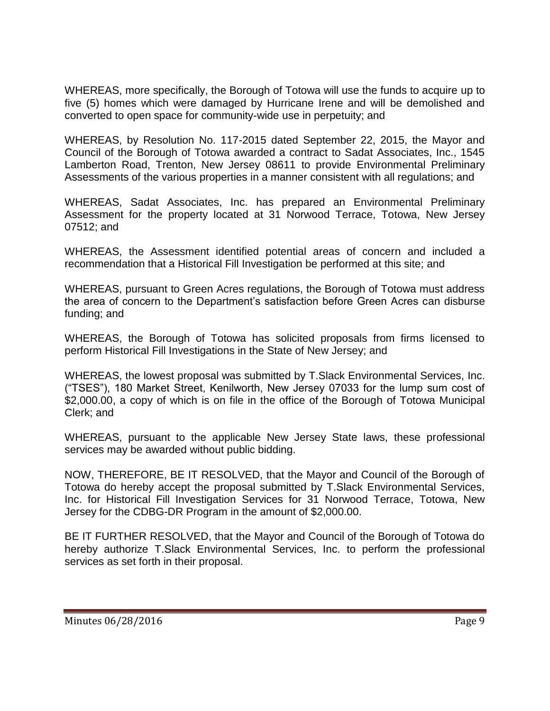WHEREAS, more specifically, the Borough of Totowa will use the funds to acquire up to five (5) homes which were damaged by Hurricane Irene and will be demolished and converted to open space for community-wide use in perpetuity; and

WHEREAS, by Resolution No. 117-2015 dated September 22, 2015, the Mayor and Council of the Borough of Totowa awarded a contract to Sadat Associates, Inc., 1545 Lamberton Road, Trenton, New Jersey 08611 to provide Environmental Preliminary Assessments of the various properties in a manner consistent with all regulations; and

WHEREAS, Sadat Associates, Inc. has prepared an Environmental Preliminary Assessment for the property located at 31 Norwood Terrace, Totowa, New Jersey 07512; and

WHEREAS, the Assessment identified potential areas of concern and included a recommendation that a Historical Fill Investigation be performed at this site; and

WHEREAS, pursuant to Green Acres regulations, the Borough of Totowa must address the area of concern to the Department's satisfaction before Green Acres can disburse funding; and

WHEREAS, the Borough of Totowa has solicited proposals from firms licensed to perform Historical Fill Investigations in the State of New Jersey; and

WHEREAS, the lowest proposal was submitted by T.Slack Environmental Services, Inc. ("TSES"), 180 Market Street, Kenilworth, New Jersey 07033 for the lump sum cost of \$2,000.00, a copy of which is on file in the office of the Borough of Totowa Municipal Clerk; and

WHEREAS, pursuant to the applicable New Jersey State laws, these professional services may be awarded without public bidding.

NOW, THEREFORE, BE IT RESOLVED, that the Mayor and Council of the Borough of Totowa do hereby accept the proposal submitted by T.Slack Environmental Services, Inc. for Historical Fill Investigation Services for 31 Norwood Terrace, Totowa, New Jersey for the CDBG-DR Program in the amount of \$2,000.00.

BE IT FURTHER RESOLVED, that the Mayor and Council of the Borough of Totowa do hereby authorize T.Slack Environmental Services, Inc. to perform the professional services as set forth in their proposal.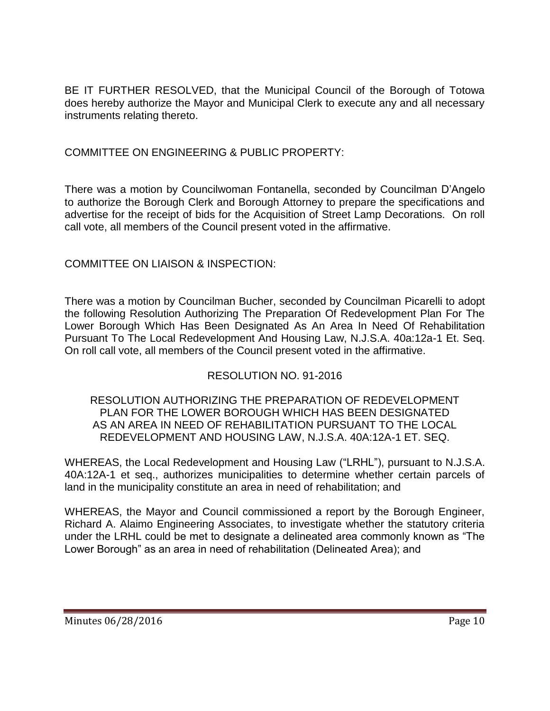BE IT FURTHER RESOLVED, that the Municipal Council of the Borough of Totowa does hereby authorize the Mayor and Municipal Clerk to execute any and all necessary instruments relating thereto.

## COMMITTEE ON ENGINEERING & PUBLIC PROPERTY:

There was a motion by Councilwoman Fontanella, seconded by Councilman D'Angelo to authorize the Borough Clerk and Borough Attorney to prepare the specifications and advertise for the receipt of bids for the Acquisition of Street Lamp Decorations. On roll call vote, all members of the Council present voted in the affirmative.

# COMMITTEE ON LIAISON & INSPECTION:

There was a motion by Councilman Bucher, seconded by Councilman Picarelli to adopt the following Resolution Authorizing The Preparation Of Redevelopment Plan For The Lower Borough Which Has Been Designated As An Area In Need Of Rehabilitation Pursuant To The Local Redevelopment And Housing Law, N.J.S.A. 40a:12a-1 Et. Seq. On roll call vote, all members of the Council present voted in the affirmative.

# RESOLUTION NO. 91-2016

#### RESOLUTION AUTHORIZING THE PREPARATION OF REDEVELOPMENT PLAN FOR THE LOWER BOROUGH WHICH HAS BEEN DESIGNATED AS AN AREA IN NEED OF REHABILITATION PURSUANT TO THE LOCAL REDEVELOPMENT AND HOUSING LAW, N.J.S.A. 40A:12A-1 ET. SEQ.

WHEREAS, the Local Redevelopment and Housing Law ("LRHL"), pursuant to N.J.S.A. 40A:12A-1 et seq., authorizes municipalities to determine whether certain parcels of land in the municipality constitute an area in need of rehabilitation; and

WHEREAS, the Mayor and Council commissioned a report by the Borough Engineer, Richard A. Alaimo Engineering Associates, to investigate whether the statutory criteria under the LRHL could be met to designate a delineated area commonly known as "The Lower Borough" as an area in need of rehabilitation (Delineated Area); and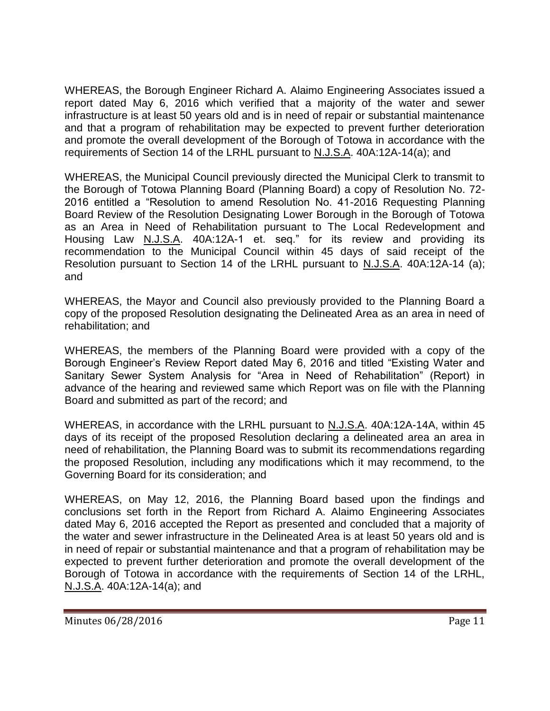WHEREAS, the Borough Engineer Richard A. Alaimo Engineering Associates issued a report dated May 6, 2016 which verified that a majority of the water and sewer infrastructure is at least 50 years old and is in need of repair or substantial maintenance and that a program of rehabilitation may be expected to prevent further deterioration and promote the overall development of the Borough of Totowa in accordance with the requirements of Section 14 of the LRHL pursuant to N.J.S.A. 40A:12A-14(a); and

WHEREAS, the Municipal Council previously directed the Municipal Clerk to transmit to the Borough of Totowa Planning Board (Planning Board) a copy of Resolution No. 72- 2016 entitled a "Resolution to amend Resolution No. 41-2016 Requesting Planning Board Review of the Resolution Designating Lower Borough in the Borough of Totowa as an Area in Need of Rehabilitation pursuant to The Local Redevelopment and Housing Law N.J.S.A. 40A:12A-1 et. seq." for its review and providing its recommendation to the Municipal Council within 45 days of said receipt of the Resolution pursuant to Section 14 of the LRHL pursuant to N.J.S.A. 40A:12A-14 (a); and

WHEREAS, the Mayor and Council also previously provided to the Planning Board a copy of the proposed Resolution designating the Delineated Area as an area in need of rehabilitation; and

WHEREAS, the members of the Planning Board were provided with a copy of the Borough Engineer's Review Report dated May 6, 2016 and titled "Existing Water and Sanitary Sewer System Analysis for "Area in Need of Rehabilitation" (Report) in advance of the hearing and reviewed same which Report was on file with the Planning Board and submitted as part of the record; and

WHEREAS, in accordance with the LRHL pursuant to N.J.S.A. 40A:12A-14A, within 45 days of its receipt of the proposed Resolution declaring a delineated area an area in need of rehabilitation, the Planning Board was to submit its recommendations regarding the proposed Resolution, including any modifications which it may recommend, to the Governing Board for its consideration; and

WHEREAS, on May 12, 2016, the Planning Board based upon the findings and conclusions set forth in the Report from Richard A. Alaimo Engineering Associates dated May 6, 2016 accepted the Report as presented and concluded that a majority of the water and sewer infrastructure in the Delineated Area is at least 50 years old and is in need of repair or substantial maintenance and that a program of rehabilitation may be expected to prevent further deterioration and promote the overall development of the Borough of Totowa in accordance with the requirements of Section 14 of the LRHL, N.J.S.A. 40A:12A-14(a); and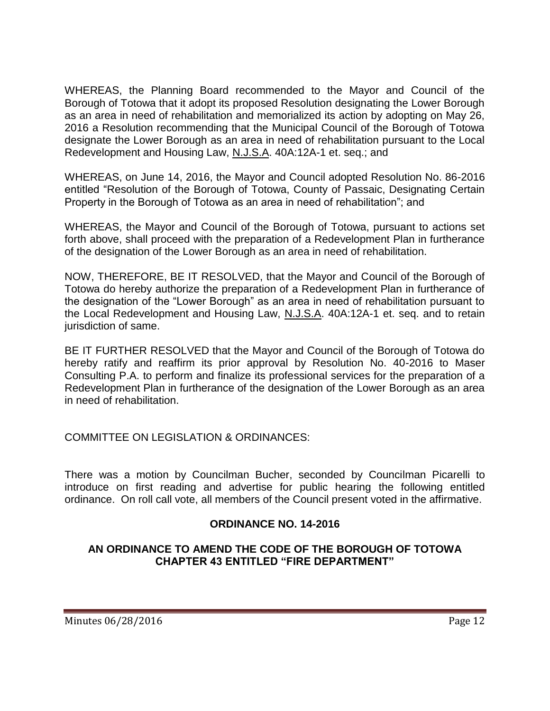WHEREAS, the Planning Board recommended to the Mayor and Council of the Borough of Totowa that it adopt its proposed Resolution designating the Lower Borough as an area in need of rehabilitation and memorialized its action by adopting on May 26, 2016 a Resolution recommending that the Municipal Council of the Borough of Totowa designate the Lower Borough as an area in need of rehabilitation pursuant to the Local Redevelopment and Housing Law, N.J.S.A. 40A:12A-1 et. seq.; and

WHEREAS, on June 14, 2016, the Mayor and Council adopted Resolution No. 86-2016 entitled "Resolution of the Borough of Totowa, County of Passaic, Designating Certain Property in the Borough of Totowa as an area in need of rehabilitation"; and

WHEREAS, the Mayor and Council of the Borough of Totowa, pursuant to actions set forth above, shall proceed with the preparation of a Redevelopment Plan in furtherance of the designation of the Lower Borough as an area in need of rehabilitation.

NOW, THEREFORE, BE IT RESOLVED, that the Mayor and Council of the Borough of Totowa do hereby authorize the preparation of a Redevelopment Plan in furtherance of the designation of the "Lower Borough" as an area in need of rehabilitation pursuant to the Local Redevelopment and Housing Law, N.J.S.A. 40A:12A-1 et. seq. and to retain jurisdiction of same.

BE IT FURTHER RESOLVED that the Mayor and Council of the Borough of Totowa do hereby ratify and reaffirm its prior approval by Resolution No. 40-2016 to Maser Consulting P.A. to perform and finalize its professional services for the preparation of a Redevelopment Plan in furtherance of the designation of the Lower Borough as an area in need of rehabilitation.

## COMMITTEE ON LEGISLATION & ORDINANCES:

There was a motion by Councilman Bucher, seconded by Councilman Picarelli to introduce on first reading and advertise for public hearing the following entitled ordinance. On roll call vote, all members of the Council present voted in the affirmative.

## **ORDINANCE NO. 14-2016**

### **AN ORDINANCE TO AMEND THE CODE OF THE BOROUGH OF TOTOWA CHAPTER 43 ENTITLED "FIRE DEPARTMENT"**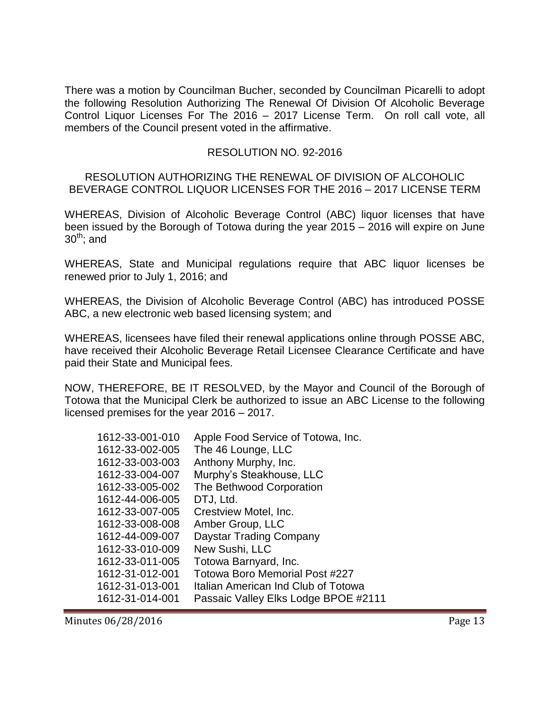There was a motion by Councilman Bucher, seconded by Councilman Picarelli to adopt the following Resolution Authorizing The Renewal Of Division Of Alcoholic Beverage Control Liquor Licenses For The 2016 – 2017 License Term. On roll call vote, all members of the Council present voted in the affirmative.

### RESOLUTION NO. 92-2016

RESOLUTION AUTHORIZING THE RENEWAL OF DIVISION OF ALCOHOLIC BEVERAGE CONTROL LIQUOR LICENSES FOR THE 2016 – 2017 LICENSE TERM

WHEREAS, Division of Alcoholic Beverage Control (ABC) liquor licenses that have been issued by the Borough of Totowa during the year 2015 – 2016 will expire on June  $30^{th}$ ; and

WHEREAS, State and Municipal regulations require that ABC liquor licenses be renewed prior to July 1, 2016; and

WHEREAS, the Division of Alcoholic Beverage Control (ABC) has introduced POSSE ABC, a new electronic web based licensing system; and

WHEREAS, licensees have filed their renewal applications online through POSSE ABC, have received their Alcoholic Beverage Retail Licensee Clearance Certificate and have paid their State and Municipal fees.

NOW, THEREFORE, BE IT RESOLVED, by the Mayor and Council of the Borough of Totowa that the Municipal Clerk be authorized to issue an ABC License to the following licensed premises for the year 2016 – 2017.

| Apple Food Service of Totowa, Inc.    |
|---------------------------------------|
| The 46 Lounge, LLC                    |
| Anthony Murphy, Inc.                  |
| Murphy's Steakhouse, LLC              |
| The Bethwood Corporation              |
| DTJ, Ltd.                             |
| Crestview Motel, Inc.                 |
| Amber Group, LLC                      |
| Daystar Trading Company               |
| New Sushi, LLC                        |
| Totowa Barnyard, Inc.                 |
| <b>Totowa Boro Memorial Post #227</b> |
| Italian American Ind Club of Totowa   |
| Passaic Valley Elks Lodge BPOE #2111  |
|                                       |

Minutes 06/28/2016 **Page 13**